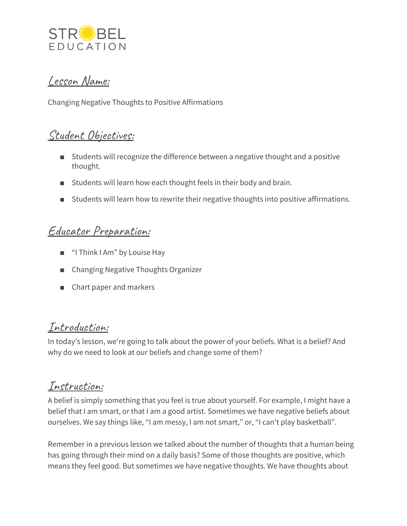

### Lesson Name:

Changing Negative Thoughts to Positive Affirmations

### Student Objectives:

- Students will recognize the difference between a negative thought and a positive thought.
- Students will learn how each thought feels in their body and brain.
- Students will learn how to rewrite their negative thoughts into positive affirmations.

## Educator Preparation:

- "I Think I Am" by Louise Hay
- Changing Negative Thoughts Organizer
- Chart paper and markers

#### Introduction:

In today's lesson, we're going to talk about the power of your beliefs. What is a belief? And why do we need to look at our beliefs and change some of them?

## Instruction:

A belief is simply something that you feel is true about yourself. For example, I might have a belief that I am smart, or that I am a good artist. Sometimes we have negative beliefs about ourselves. We say things like, "I am messy, I am not smart," or, "I can't play basketball".

Remember in a previous lesson we talked about the number of thoughts that a human being has going through their mind on a daily basis? Some of those thoughts are positive, which means they feel good. But sometimes we have negative thoughts. We have thoughts about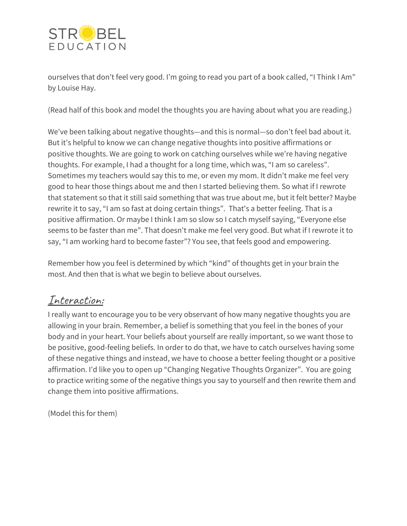

ourselves that don't feel very good. I'm going to read you part of a book called, "I Think I Am" by Louise Hay.

(Read half of this book and model the thoughts you are having about what you are reading.)

We've been talking about negative thoughts—and this is normal—so don't feel bad about it. But it's helpful to know we can change negative thoughts into positive affirmations or positive thoughts. We are going to work on catching ourselves while we're having negative thoughts. For example, I had a thought for a long time, which was, "I am so careless". Sometimes my teachers would say this to me, or even my mom. It didn't make me feel very good to hear those things about me and then I started believing them. So what if I rewrote that statement so that it still said something that was true about me, but it felt better? Maybe rewrite it to say, "I am so fast at doing certain things". That's a better feeling. That is a positive affirmation. Or maybe I think I am so slow so I catch myself saying, "Everyone else seems to be faster than me". That doesn't make me feel very good. But what if I rewrote it to say, "I am working hard to become faster"? You see, that feels good and empowering.

Remember how you feel is determined by which "kind" of thoughts get in your brain the most. And then that is what we begin to believe about ourselves.

### Interaction:

I really want to encourage you to be very observant of how many negative thoughts you are allowing in your brain. Remember, a belief is something that you feel in the bones of your body and in your heart. Your beliefs about yourself are really important, so we want those to be positive, good-feeling beliefs. In order to do that, we have to catch ourselves having some of these negative things and instead, we have to choose a better feeling thought or a positive affirmation. I'd like you to open up "Changing Negative Thoughts Organizer". You are going to practice writing some of the negative things you say to yourself and then rewrite them and change them into positive affirmations.

(Model this for them)